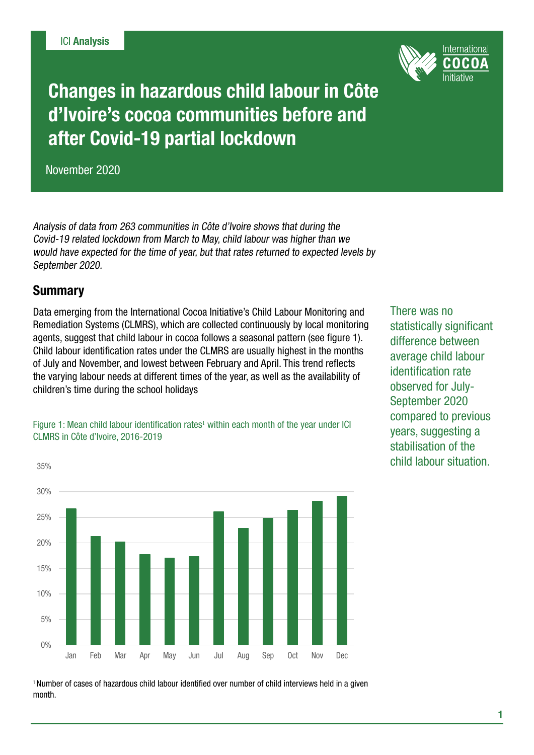

Changes in hazardous child labour in Côte d'Ivoire's cocoa communities before and after Covid-19 partial lockdown

November 2020

Analysis of data from 263 communities in Côte d'Ivoire shows that during the Covid-19 related lockdown from March to May, child labour was higher than we would have expected for the time of year, but that rates returned to expected levels by September 2020.

## **Summary**

35%

Data emerging from the International Cocoa Initiative's Child Labour Monitoring and Remediation Systems (CLMRS), which are collected continuously by local monitoring agents, suggest that child labour in cocoa follows a seasonal pattern (see figure 1). Child labour identification rates under the CLMRS are usually highest in the months of July and November, and lowest between February and April. This trend reflects the varying labour needs at different times of the year, as well as the availability of children's time during the school holidays

There was no statistically significant difference between average child labour identification rate observed for July-September 2020 compared to previous years, suggesting a stabilisation of the child labour situation.

Figure 1: Mean child labour identification rates<sup>1</sup> within each month of the year under ICI CLMRS in Côte d'Ivoire, 2016-2019



<sup>1</sup> Number of cases of hazardous child labour identified over number of child interviews held in a given month.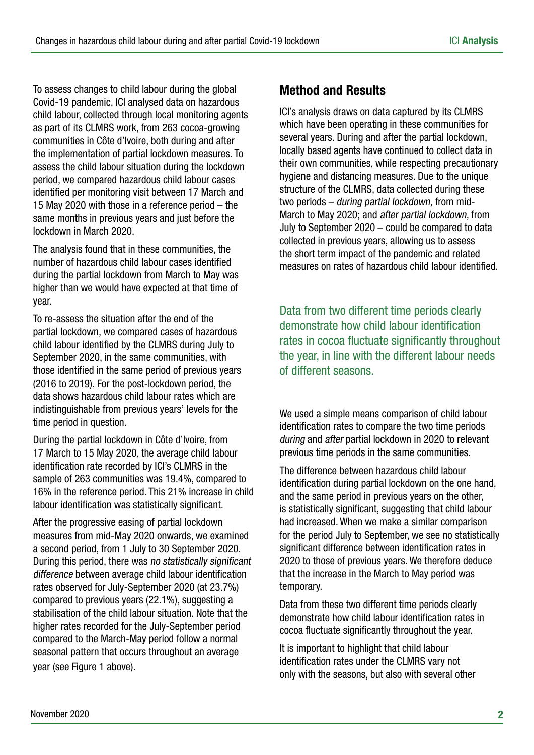To assess changes to child labour during the global Covid-19 pandemic, ICI analysed data on hazardous child labour, collected through local monitoring agents as part of its CLMRS work, from 263 cocoa-growing communities in Côte d'Ivoire, both during and after the implementation of partial lockdown measures. To assess the child labour situation during the lockdown period, we compared hazardous child labour cases identified per monitoring visit between 17 March and 15 May 2020 with those in a reference period – the same months in previous years and just before the lockdown in March 2020.

The analysis found that in these communities, the number of hazardous child labour cases identified during the partial lockdown from March to May was higher than we would have expected at that time of year.

To re-assess the situation after the end of the partial lockdown, we compared cases of hazardous child labour identified by the CLMRS during July to September 2020, in the same communities, with those identified in the same period of previous years (2016 to 2019). For the post-lockdown period, the data shows hazardous child labour rates which are indistinguishable from previous years' levels for the time period in question.

During the partial lockdown in Côte d'Ivoire, from 17 March to 15 May 2020, the average child labour identification rate recorded by ICI's CLMRS in the sample of 263 communities was 19.4%, compared to 16% in the reference period. This 21% increase in child labour identification was statistically significant.

After the progressive easing of partial lockdown measures from mid-May 2020 onwards, we examined a second period, from 1 July to 30 September 2020. During this period, there was no statistically significant difference between average child labour identification rates observed for July-September 2020 (at 23.7%) compared to previous years (22.1%), suggesting a stabilisation of the child labour situation. Note that the higher rates recorded for the July-September period compared to the March-May period follow a normal seasonal pattern that occurs throughout an average year (see Figure 1 above).

## Method and Results

ICI's analysis draws on data captured by its CLMRS which have been operating in these communities for several years. During and after the partial lockdown, locally based agents have continued to collect data in their own communities, while respecting precautionary hygiene and distancing measures. Due to the unique structure of the CLMRS, data collected during these two periods – during partial lockdown, from mid-March to May 2020; and after partial lockdown, from July to September 2020 – could be compared to data collected in previous years, allowing us to assess the short term impact of the pandemic and related measures on rates of hazardous child labour identified.

Data from two different time periods clearly demonstrate how child labour identification rates in cocoa fluctuate significantly throughout the year, in line with the different labour needs of different seasons.

We used a simple means comparison of child labour identification rates to compare the two time periods during and after partial lockdown in 2020 to relevant previous time periods in the same communities.

The difference between hazardous child labour identification during partial lockdown on the one hand, and the same period in previous years on the other, is statistically significant, suggesting that child labour had increased. When we make a similar comparison for the period July to September, we see no statistically significant difference between identification rates in 2020 to those of previous years. We therefore deduce that the increase in the March to May period was temporary.

Data from these two different time periods clearly demonstrate how child labour identification rates in cocoa fluctuate significantly throughout the year.

It is important to highlight that child labour identification rates under the CLMRS vary not only with the seasons, but also with several other